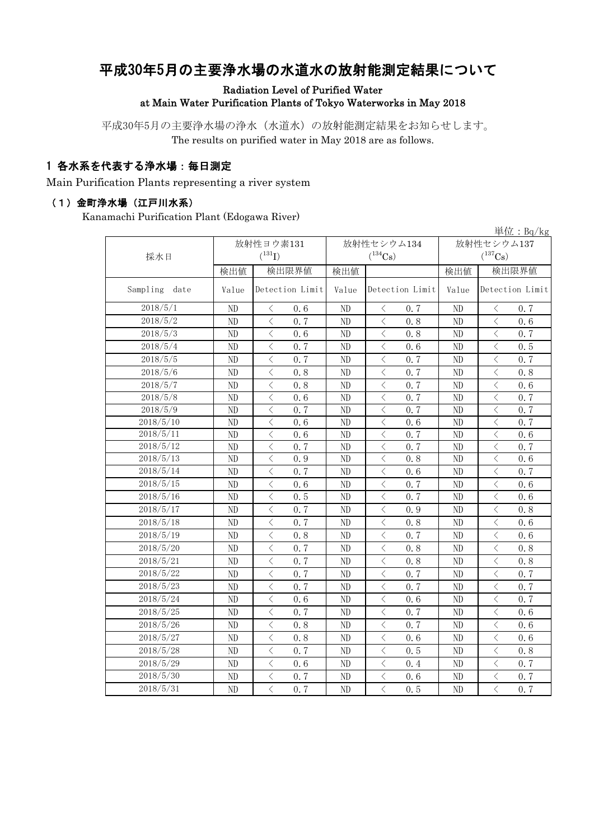# 平成30年5月の主要浄水場の水道水の放射能測定結果について

Radiation Level of Purified Water at Main Water Purification Plants of Tokyo Waterworks in May 2018

平成30年5月の主要浄水場の浄水(水道水)の放射能測定結果をお知らせします。 The results on purified water in May 2018 are as follows.

#### 1 各水系を代表する浄水場:毎日測定

Main Purification Plants representing a river system

#### (1)金町浄水場(江戸川水系)

Kanamachi Purification Plant (Edogawa River)

|                  |             |                                    |       |                                                 |                |              | 単位: $Bq/kg$     |
|------------------|-------------|------------------------------------|-------|-------------------------------------------------|----------------|--------------|-----------------|
|                  | 放射性ヨウ素131   |                                    |       | 放射性セシウム134                                      | 放射性セシウム137     |              |                 |
| 採水日              | $(^{131}I)$ |                                    |       | $(^{134}\mathrm{Cs})$                           |                | $(^{137}Cs)$ |                 |
|                  | 検出値         | 検出限界値                              | 検出値   |                                                 | 検出値            | 検出限界値        |                 |
| Sampling<br>date | Value       | Detection Limit                    | Value | Detection Limit                                 | Value          |              | Detection Limit |
| 2018/5/1         | ND          | $\langle$<br>0, 6                  | ND    | $\lt$<br>0.7                                    | N <sub>D</sub> | $\lt$        | 0, 7            |
| 2018/5/2         | ND          | $\lt$<br>0.7                       | ND    | $\langle$<br>0.8                                | ND             | $\lt$        | 0.6             |
| 2018/5/3         | ND          | $\lt$<br>0.6                       | ND    | $\lt$<br>0.8                                    | ND             | $\langle$    | 0.7             |
| 2018/5/4         | ND          | $\langle$<br>0.7                   | ND    | $\,$ $\,$<br>0.6                                | ND             | $\lt$        | 0.5             |
| 2018/5/5         | ND          | $\langle$<br>0.7                   | ND    | $\overline{\left\langle \right\rangle }$<br>0.7 | ND             | $\lt$        | 0.7             |
| 2018/5/6         | ND          | $\lt$<br>0.8                       | ND    | $\lt$<br>0.7                                    | ND             | $\lt$        | 0.8             |
| 2018/5/7         | ND          | $\lt$<br>0.8                       | ND    | 0.7<br>$\lt$                                    | ND             | $\lt$        | 0.6             |
| 2018/5/8         | ND          | $\lt$<br>0, 6                      | ND    | $\lt$<br>0.7                                    | ND             | ⟨            | 0, 7            |
| 2018/5/9         | ND          | $\lt$<br>0.7                       | ND    | $\langle$<br>0.7                                | ND             |              | 0.7             |
| 2018/5/10        | ND          | $\hspace{0.5cm}\big\langle$<br>0.6 | ND    | $\,$ $\,$<br>0.6                                | ND             | $\langle$    | 0.7             |
| 2018/5/11        | ND          | $\langle$<br>0.6                   | ND    | $\lt$<br>0.7                                    | ND             | $\langle$    | 0.6             |
| 2018/5/12        | ND          | $\langle$<br>0.7                   | ND    | $\langle$<br>0.7                                | ND             | $\langle$    | 0.7             |
| 2018/5/13        | ND          | $\lt$<br>0.9                       | ND    | $\lt$<br>0.8                                    | ND             | $\langle$    | 0.6             |
| 2018/5/14        | ND          | $\lt$<br>0.7                       | ND    | $\lt$<br>0.6                                    | ND             | $\langle$    | 0.7             |
| 2018/5/15        | ND          | $\lt$<br>0.6                       | ND    | $\lt$<br>0.7                                    | ND             | $\langle$    | 0.6             |
| 2018/5/16        | ND          | $\langle$<br>0.5                   | ND    | $\langle$<br>0.7                                | ND             | $\langle$    | 0.6             |
| 2018/5/17        | ND          | $\langle$<br>0.7                   | ND    | $\langle$<br>0.9                                | ND             | $\lt$        | 0.8             |
| 2018/5/18        | ND          | $\lt$<br>0.7                       | ND    | $\lt$<br>0.8                                    | ND             | $\lt$        | 0.6             |
| 2018/5/19        | ND          | $\lt$<br>0.8                       | ND    | 0.7<br>$\lt$                                    | ND             | $\lt$        | 0.6             |
| 2018/5/20        | ND          | $\langle$<br>0, 7                  | ND    | $\langle$<br>0.8                                | N <sub>D</sub> | $\langle$    | 0.8             |
| 2018/5/21        | ND          | $\lt$<br>0.7                       | ND    | $\lt$<br>0.8                                    | ND             | $\lt$        | 0.8             |
| 2018/5/22        | ND          | $\lt$<br>0.7                       | ND    | $\langle$<br>0.7                                | ND             | $\langle$    | 0, 7            |
| 2018/5/23        | ND          | $\lt$<br>0.7                       | ND    | $\langle$<br>0.7                                | ND             | $\langle$    | 0.7             |
| 2018/5/24        | ND          | $\lt$<br>0.6                       | ND    | $\langle$<br>0.6                                | ND             | $\lt$        | 0.7             |
| 2018/5/25        | ND          | $\langle$<br>0.7                   | ND    | $\overline{\left\langle \right\rangle }$<br>0.7 | ND             | $\langle$    | 0.6             |
| 2018/5/26        | ND          | $\langle$<br>0.8                   | ND    | $\langle$<br>0.7                                | ND             | $\langle$    | 0.6             |
| 2018/5/27        | ND          | $\langle$<br>0, 8                  | ND    | $\langle$<br>0, 6                               | ND             | $\langle$    | 0, 6            |
| 2018/5/28        | ND          | $\langle$<br>0.7                   | ND    | $\lt$<br>0.5                                    | ND             | $\lt$        | 0.8             |
| 2018/5/29        | ND          | $\langle$<br>0, 6                  | ND    | $\langle$<br>0.4                                | N <sub>D</sub> | $\langle$    | 0, 7            |
| 2018/5/30        | ND          | $\langle$<br>0.7                   | ND    | $\lt$<br>0.6                                    | ND             | $\lt$        | 0.7             |
| 2018/5/31        | ND          | $\overline{\langle}$<br>0.7        | ND    | $\overline{\left\langle \right\rangle }$<br>0.5 | N <sub>D</sub> | $\langle$    | 0.7             |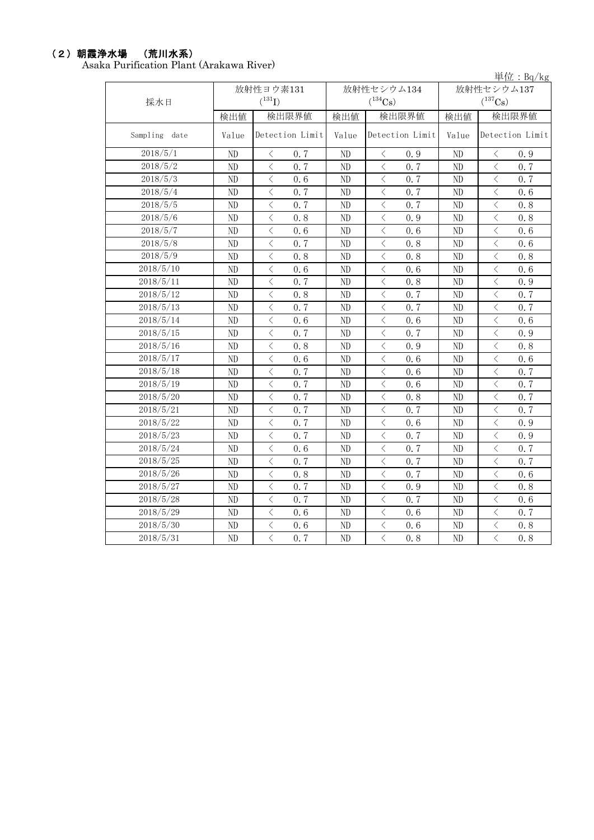# (2)朝霞浄水場 (荒川水系)

Asaka Purification Plant (Arakawa River)

単位:Bq/kg

| 採水日           |                | 放射性ヨウ素131<br>$(^{131}I)$                        |          | 放射性セシウム134<br>$(^{134}Cs)$                      | $+12 \cdot 10^{1}$ $+5$<br>放射性セシウム137<br>$(^{137}Cs)$ |                                                  |  |
|---------------|----------------|-------------------------------------------------|----------|-------------------------------------------------|-------------------------------------------------------|--------------------------------------------------|--|
|               | 検出値            | 検出限界値                                           | 検出値      | 検出限界値                                           | 検出値                                                   | 検出限界値                                            |  |
| Sampling date | Value          | Detection Limit                                 | Value    | Detection Limit                                 | Value                                                 | Detection Limit                                  |  |
| 2018/5/1      | ND             | $\langle$<br>0.7                                | $\rm ND$ | $\langle$<br>0.9                                | $\rm ND$                                              | $\langle$<br>0.9                                 |  |
| 2018/5/2      | $\rm ND$       | $\langle$<br>0.7                                | $\rm ND$ | $\overline{\left\langle \right\rangle }$<br>0.7 | $\rm ND$                                              | $\,$ $\,$ $\,$<br>0.7                            |  |
| 2018/5/3      | ND             | $\langle$<br>0.6                                | ND       | $\langle$<br>0.7                                | ND                                                    | $\lt$<br>0.7                                     |  |
| 2018/5/4      | ND             | $\lt$<br>0.7                                    | ND       | $\hspace{0.1mm} <$<br>0.7                       | ND                                                    | $\langle$<br>0.6                                 |  |
| 2018/5/5      | ND             | $\langle$<br>0.7                                | ND       | $\hspace{0.1mm} <$<br>0.7                       | ND                                                    | $\langle$<br>0.8                                 |  |
| 2018/5/6      | ND             | $\lt$<br>0.8                                    | ND       | $\,$ $\,$ $\,$<br>0.9                           | $\rm ND$                                              | $\lt$<br>0.8                                     |  |
| 2018/5/7      | ND             | $\langle$<br>0.6                                | ND       | $\hspace{0.1mm} <\hspace{0.1mm}$<br>0.6         | ND                                                    | $\lt$<br>0.6                                     |  |
| 2018/5/8      | N <sub>D</sub> | $\lt$<br>0.7                                    | ND       | $\, < \,$<br>0.8                                | ND                                                    | $\overline{\left\langle \right\rangle }$<br>0.6  |  |
| 2018/5/9      | N <sub>D</sub> | $\lt$<br>0.8                                    | ND       | $\,$ $\,$ $\,$<br>0.8                           | ND                                                    | $\lt$<br>0.8                                     |  |
| 2018/5/10     | ND             | $\langle$<br>0.6                                | ND       | $\langle$<br>0.6                                | $\rm ND$                                              | $\lt$<br>0.6                                     |  |
| 2018/5/11     | ND             | $\langle$<br>0.7                                | ND       | $\lt$<br>0.8                                    | ND                                                    | $\lt$<br>0.9                                     |  |
| 2018/5/12     | ND             | $\overline{\left\langle \right\rangle }$<br>0.8 | ND       | $\lt$<br>0.7                                    | ND                                                    | $\overline{\left\langle \right\rangle }$<br>0, 7 |  |
| 2018/5/13     | ND             | $\lt$<br>0.7                                    | ND       | $\langle$<br>0.7                                | ND                                                    | $\lt$<br>0.7                                     |  |
| 2018/5/14     | ND             | $\overline{\left\langle \right\rangle }$<br>0.6 | ND       | $\,$ $\,$ $\,$<br>0.6                           | $\rm ND$                                              | $\overline{\left\langle \right\rangle }$<br>0.6  |  |
| 2018/5/15     | ND             | $\overline{\left\langle \right\rangle }$<br>0.7 | ND       | $\lt$<br>0.7                                    | $\rm ND$                                              | $\overline{\left\langle \right\rangle }$<br>0.9  |  |
| 2018/5/16     | ND             | $\langle$<br>0.8                                | ND       | $\langle$<br>0.9                                | ND                                                    | $\langle$<br>0.8                                 |  |
| 2018/5/17     | ND             | $\overline{\left\langle \right\rangle }$<br>0.6 | ND       | $\overline{\left\langle \right\rangle }$<br>0.6 | ND                                                    | $\overline{\left\langle \right\rangle }$<br>0.6  |  |
| 2018/5/18     | ND             | $\langle$<br>0.7                                | ND       | $\overline{\left\langle \right\rangle }$<br>0.6 | ND                                                    | $\langle$<br>0.7                                 |  |
| 2018/5/19     | $\rm ND$       | $\langle$<br>0.7                                | ND       | $\langle$<br>0.6                                | $\rm ND$                                              | $\langle$<br>0.7                                 |  |
| 2018/5/20     | $\rm ND$       | $\langle$<br>0.7                                | ND       | $\lt$<br>0.8                                    | $\rm ND$                                              | $\langle$<br>0.7                                 |  |
| 2018/5/21     | ND             | $\langle$<br>0.7                                | ND       | $\,$ $\,$ $\,$<br>0.7                           | $\rm ND$                                              | $\langle$<br>0.7                                 |  |
| 2018/5/22     | ND             | $\langle$<br>0.7                                | ND       | $\langle$<br>0.6                                | ND                                                    | $\lt$<br>0.9                                     |  |
| 2018/5/23     | ND             | $\langle$<br>0.7                                | ND       | 0.7<br>$\lt$                                    | ND                                                    | $\langle$<br>0.9                                 |  |
| 2018/5/24     | $\rm ND$       | $\langle$<br>0.6                                | $\rm ND$ | $\langle$<br>0.7                                | $\rm ND$                                              | $\lt$<br>0.7                                     |  |
| 2018/5/25     | ND             | $\overline{\left\langle \right\rangle }$<br>0.7 | ND       | $\,$ $\,$ $\,$<br>0.7                           | ND                                                    | $\lt$<br>0.7                                     |  |
| 2018/5/26     | ND             | $\lt$<br>0.8                                    | ND       | $\,$ $\,$ $\,$<br>0.7                           | $\rm ND$                                              | $\lt$<br>0.6                                     |  |
| 2018/5/27     | ND             | $\langle$<br>0.7                                | ND       | $\lt$<br>0.9                                    | $\rm ND$                                              | $\lt$<br>0.8                                     |  |
| 2018/5/28     | ND             | $\langle$<br>0.7                                | ND       | $\langle$<br>0.7                                | $\rm ND$                                              | $\lt$<br>0.6                                     |  |
| 2018/5/29     | ND             | $\overline{\left\langle \right\rangle }$<br>0.6 | ND       | $\lt$<br>0.6                                    | $\rm ND$                                              | $\lt$<br>0.7                                     |  |
| 2018/5/30     | ND             | $\overline{\left\langle \right\rangle }$<br>0.6 | ND       | $\lt$<br>0.6                                    | $\rm ND$                                              | $\overline{\left\langle \right\rangle }$<br>0.8  |  |
| 2018/5/31     | ND             | $\overline{\left\langle \right\rangle }$<br>0.7 | ND       | $\overline{\left\langle \right\rangle }$<br>0.8 | $\rm ND$                                              | $\overline{\left\langle \right\rangle }$<br>0.8  |  |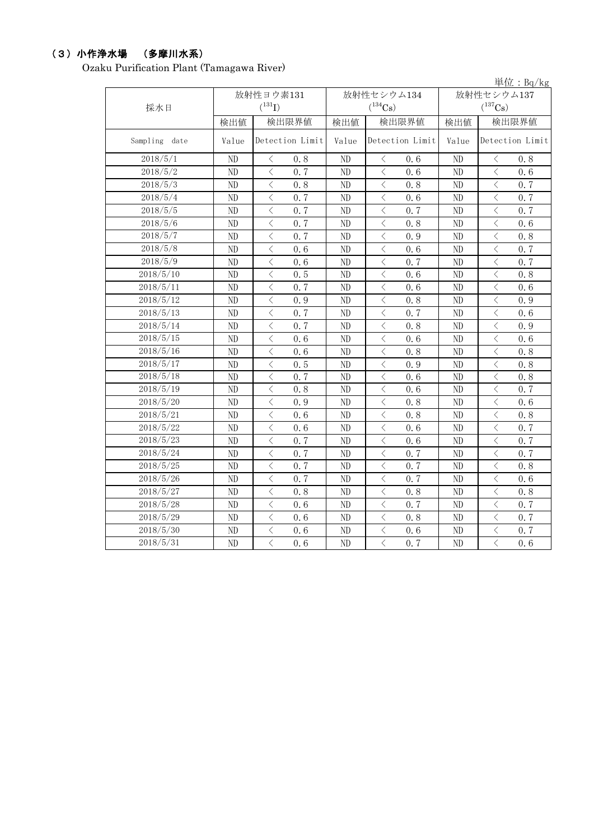## (3)小作浄水場 (多摩川水系)

Ozaku Purification Plant (Tamagawa River)

|               |       |                                                 |       |                       |                | 単位: $Bq/kg$                                     |
|---------------|-------|-------------------------------------------------|-------|-----------------------|----------------|-------------------------------------------------|
|               |       | 放射性ヨウ素131                                       |       | 放射性セシウム134            |                | 放射性セシウム137                                      |
| 採水日           |       | $(^{131}I)$                                     |       | $(^{134}Cs)$          |                | $(^{137}Cs)$                                    |
|               | 検出値   | 検出限界値                                           | 検出値   | 検出限界値                 | 検出値            | 検出限界値                                           |
| Sampling date | Value | Detection Limit                                 | Value | Detection Limit       | Value          | Detection Limit                                 |
| 2018/5/1      | ND    | 0.8<br>$\lt$                                    | ND    | $\langle$<br>0.6      | N <sub>D</sub> | $\langle$<br>0.8                                |
| 2018/5/2      | ND    | $\langle$<br>0, 7                               | ND    | $\langle$<br>0, 6     | ND             | $\langle$<br>0, 6                               |
| 2018/5/3      | ND    | $\langle$<br>0.8                                | ND    | $\langle$<br>0.8      | ND             | $\langle$<br>0.7                                |
| 2018/5/4      | ND    | $\overline{\left\langle \right\rangle }$<br>0.7 | ND    | $\,$ $\,$ $\,$<br>0.6 | ND             | $\lt$<br>0.7                                    |
| 2018/5/5      | ND    | $\langle$<br>0.7                                | ND    | $\langle$<br>0.7      | ND             | $\lt$<br>0.7                                    |
| 2018/5/6      | ND    | $\langle$<br>0.7                                | ND    | $\langle$<br>0.8      | ND             | $\overline{\left\langle \right\rangle }$<br>0.6 |
| 2018/5/7      | ND    | $\langle$<br>0.7                                | ND    | $\langle$<br>0.9      | ND             | $\langle$<br>0.8                                |
| 2018/5/8      | ND    | $\langle$<br>0.6                                | ND    | $\langle$<br>0.6      | ND             | $\,<$<br>0.7                                    |
| 2018/5/9      | ND    | $\overline{\left\langle \right\rangle }$<br>0.6 | ND    | $\lt$<br>0.7          | ND             | $\lt$<br>0.7                                    |
| 2018/5/10     | ND    | $\langle$<br>0.5                                | ND    | $\langle$<br>0.6      | ND             | $\langle$<br>0, 8                               |
| 2018/5/11     | ND    | $\langle$<br>0.7                                | ND    | $\langle$<br>0.6      | ND             | $\lt$<br>0, 6                                   |
| 2018/5/12     | ND    | $\langle$<br>0.9                                | ND    | $\langle$<br>0, 8     | ND             | $\lt$<br>0.9                                    |
| 2018/5/13     | ND    | $\langle$<br>0.7                                | ND    | $\langle$<br>0, 7     | ND             | $\lt$<br>0, 6                                   |
| 2018/5/14     | ND    | $\langle$<br>0.7                                | ND    | $\langle$<br>0.8      | ND             | $\overline{\left\langle \right\rangle }$<br>0.9 |
| 2018/5/15     | ND    | $\overline{\left\langle \right\rangle }$<br>0.6 | ND    | $\,$ $\,$ $\,$<br>0.6 | ND             | $\,<$<br>0.6                                    |
| 2018/5/16     | ND    | $\overline{\left\langle \right\rangle }$<br>0.6 | ND    | $\langle$<br>0.8      | ND             | $\langle$<br>0.8                                |
| 2018/5/17     | ND    | $\lt$<br>0.5                                    | ND    | $\lt$<br>0.9          | ND             | $\overline{\left\langle \right\rangle }$<br>0.8 |
| 2018/5/18     | ND    | $\langle$<br>0.7                                | ND    | $\langle$<br>0.6      | ND             | $\lt$<br>0.8                                    |
| 2018/5/19     | ND    | $\langle$<br>0.8                                | ND    | $\lt$<br>0.6          | ND             | $\lt$<br>0.7                                    |
| 2018/5/20     | ND    | $\overline{\left\langle \right\rangle }$<br>0.9 | ND    | $\lt$<br>0.8          | ND             | $\lt$<br>0.6                                    |
| 2018/5/21     | ND    | $\overline{\left\langle \right\rangle }$<br>0.6 | ND    | $\lt$<br>0.8          | ND             | $\lt$<br>0.8                                    |
| 2018/5/22     | ND    | $\langle$<br>0.6                                | ND    | $\langle$<br>0.6      | ND             | $\langle$<br>0.7                                |
| 2018/5/23     | ND    | $\langle$<br>0.7                                | ND    | $\langle$<br>0.6      | ND             | $\lt$<br>0, 7                                   |
| 2018/5/24     | ND    | $\langle$<br>0, 7                               | ND    | $\langle$<br>0, 7     | ND             | $\lt$<br>0, 7                                   |
| 2018/5/25     | ND    | $\langle$<br>0, 7                               | ND    | $\langle$<br>0, 7     | N <sub>D</sub> | $\lt$<br>0, 8                                   |
| 2018/5/26     | ND    | $\langle$<br>0.7                                | ND    | $\langle$<br>0.7      | ND             | $\overline{\left\langle \right\rangle }$<br>0.6 |
| 2018/5/27     | ND    | $\,$ $\,$ $\,$<br>0.8                           | ND    | $\,$ $\,$ $\,$<br>0.8 | ND             | $\,$ $\,$ $\,$<br>0.8                           |
| 2018/5/28     | ND    | $\langle$<br>0.6                                | ND    | $\,<$<br>0.7          | ND             | $\overline{\left\langle \right\rangle }$<br>0.7 |
| 2018/5/29     | ND    | $\lt$<br>0.6                                    | ND    | $\langle$<br>0.8      | ND             | $\lt$<br>0.7                                    |
| 2018/5/30     | ND    | $\, \big\langle \,$<br>0.6                      | ND    | $\lt$<br>0.6          | ND             | $\,$ $\,$ $\,$<br>0.7                           |
| 2018/5/31     | ND    | $\overline{\left\langle \right\rangle }$<br>0.6 | ND    | $\,$ $\,$ $\,$<br>0.7 | ND             | $\,$ $\,$ $\,$<br>0.6                           |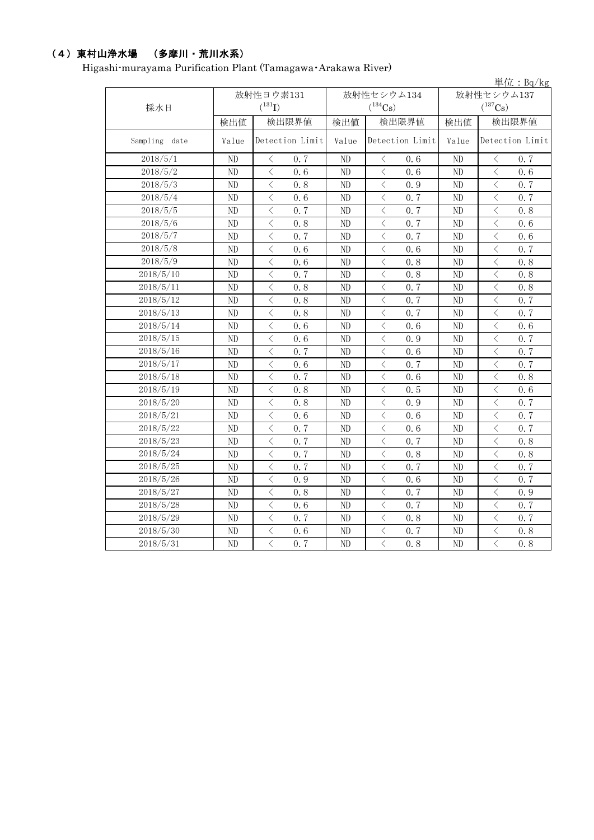## (4)東村山浄水場 (多摩川・荒川水系)

Higashi-murayama Purification Plant (Tamagawa・Arakawa River)

|               |          |                                                 |       |                                                 |            | 単位: $Bq/kg$                                     |  |
|---------------|----------|-------------------------------------------------|-------|-------------------------------------------------|------------|-------------------------------------------------|--|
|               |          | 放射性ヨウ素131                                       |       | 放射性セシウム134                                      | 放射性セシウム137 |                                                 |  |
| 採水日           |          | $(^{131}I)$                                     |       | $(^{134}Cs)$                                    |            | $(^{137}Cs)$                                    |  |
|               | 検出値      | 検出限界値                                           | 検出値   | 検出限界値                                           | 検出値        | 検出限界値                                           |  |
| Sampling date | Value    | Detection Limit                                 | Value | Detection Limit                                 | Value      | Detection Limit                                 |  |
| 2018/5/1      | ND       | 0.7<br>$\langle$                                | ND    | $\langle$<br>0.6                                | ND         | $\langle$<br>0, 7                               |  |
| 2018/5/2      | ND       | $\overline{\left\langle \right\rangle }$<br>0.6 | ND    | $\langle$<br>0.6                                | ND         | $\overline{\left\langle \right\rangle }$<br>0.6 |  |
| 2018/5/3      | ND       | $\overline{\left\langle \right\rangle }$<br>0.8 | ND    | $\langle$<br>0.9                                | ND         | $\langle$<br>0.7                                |  |
| 2018/5/4      | ND       | $\langle$<br>0.6                                | ND    | $\langle$<br>0.7                                | ND         | $\langle$<br>0.7                                |  |
| 2018/5/5      | ND       | $\langle$<br>0.7                                | ND    | $\langle$<br>0.7                                | ND         | $\overline{\left\langle \right\rangle }$<br>0.8 |  |
| 2018/5/6      | ND       | $\langle$<br>0.8                                | ND    | $\overline{\left\langle \right\rangle }$<br>0.7 | ND         | $\langle$<br>0.6                                |  |
| 2018/5/7      | ND       | $\lt$<br>0.7                                    | ND    | $\langle$<br>0.7                                | ND         | $\lt$<br>0.6                                    |  |
| 2018/5/8      | ND       | $\langle$<br>0.6                                | ND    | $\lt$<br>0.6                                    | ND         | $\langle$<br>0.7                                |  |
| 2018/5/9      | ND       | $\langle$<br>0.6                                | ND    | $\lt$<br>0.8                                    | ND         | $\langle$<br>0.8                                |  |
| 2018/5/10     | ND       | $\overline{\left\langle \right\rangle }$<br>0.7 | ND    | $\langle$<br>0.8                                | ND         | $\overline{\left\langle \right\rangle }$<br>0.8 |  |
| 2018/5/11     | ND       | $\lt$<br>0.8                                    | ND    | $\lt$<br>0.7                                    | ND         | $\lt$<br>0.8                                    |  |
| 2018/5/12     | ND       | $\langle$<br>0.8                                | ND    | $\lt$<br>0.7                                    | ND         | $\lt$<br>0.7                                    |  |
| 2018/5/13     | $\rm ND$ | $\langle$<br>0.8                                | ND    | $\langle$<br>0.7                                | ND         | $\lt$<br>0.7                                    |  |
| 2018/5/14     | $\rm ND$ | $\, <\,$<br>0.6                                 | ND    | $\langle$<br>0.6                                | ND         | $\langle$<br>0.6                                |  |
| 2018/5/15     | ND       | $\langle$<br>0.6                                | ND    | $\lt$<br>0.9                                    | ND         | $\lt$<br>0.7                                    |  |
| 2018/5/16     | ND       | $\lt$<br>0.7                                    | ND    | $\lt$<br>0.6                                    | ND         | $\lt$<br>0.7                                    |  |
| 2018/5/17     | ND       | $\langle$<br>0.6                                | ND    | $\langle$<br>0, 7                               | ND         | $\langle$<br>0.7                                |  |
| 2018/5/18     | ND       | $\langle$<br>0.7                                | ND    | $\lt$<br>0.6                                    | ND         | $\lt$<br>0.8                                    |  |
| 2018/5/19     | ND       | $\langle$<br>0.8                                | ND    | $\lt$<br>0.5                                    | ND         | $\langle$<br>0.6                                |  |
| 2018/5/20     | ND       | $\langle$<br>0.8                                | ND    | $\langle$<br>0.9                                | ND         | $\langle$<br>0.7                                |  |
| 2018/5/21     | ND       | $\langle$<br>0.6                                | ND    | $\lt$<br>0.6                                    | ND         | $\langle$<br>0.7                                |  |
| 2018/5/22     | ND       | $\langle$<br>0.7                                | ND    | $\lt$<br>0.6                                    | ND         | $\lt$<br>0.7                                    |  |
| 2018/5/23     | ND       | $\langle$<br>0.7                                | ND    | $\langle$<br>0.7                                | ND         | $\langle$<br>0.8                                |  |
| 2018/5/24     | ND       | $\lt$<br>0.7                                    | ND    | $\langle$<br>0.8                                | ND         | $\lt$<br>0.8                                    |  |
| 2018/5/25     | ND       | $\lt$<br>0.7                                    | ND    | $\lt$<br>0.7                                    | $\rm ND$   | $\overline{\left\langle \right\rangle }$<br>0.7 |  |
| 2018/5/26     | ND       | $\lt$<br>0.9                                    | ND    | $\lt$<br>0.6                                    | $\rm ND$   | $\lt$<br>0.7                                    |  |
| 2018/5/27     | ND       | $\overline{\left\langle \right\rangle }$<br>0.8 | ND    | $\langle$<br>0, 7                               | ND         | $\overline{\left\langle \right\rangle }$<br>0.9 |  |
| 2018/5/28     | ND       | $\lt$<br>0.6                                    | ND    | $\lt$<br>0.7                                    | ND         | $\overline{\left\langle \right\rangle }$<br>0.7 |  |
| 2018/5/29     | ND       | $\langle$<br>0.7                                | ND    | $\langle$<br>0.8                                | ND         | $\lt$<br>0.7                                    |  |
| 2018/5/30     | ND       | $\lt$<br>0.6                                    | ND    | $\langle$<br>0.7                                | ND         | $\overline{\left\langle \right\rangle }$<br>0.8 |  |
| 2018/5/31     | ND       | $\langle$<br>0.7                                | ND    | $\lt$<br>0.8                                    | ND         | $\langle$<br>0.8                                |  |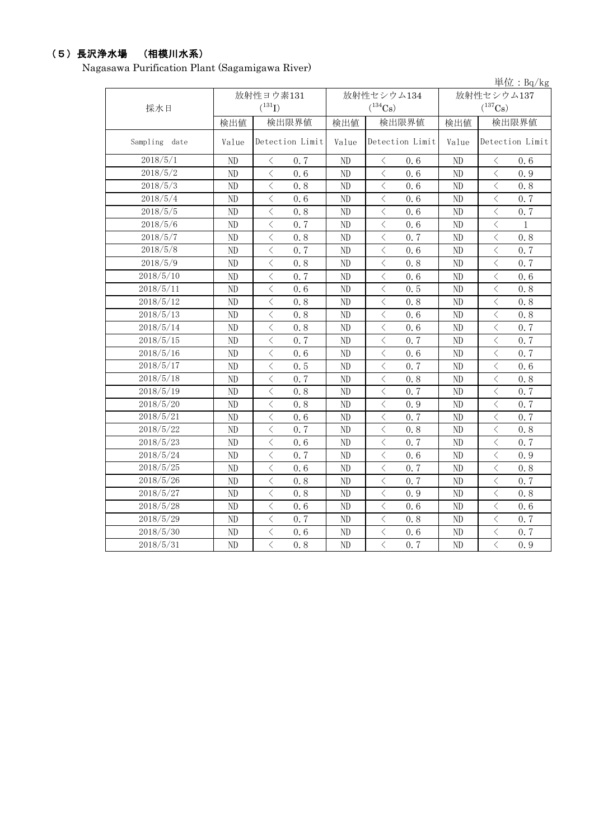## (5)長沢浄水場 (相模川水系)

Nagasawa Purification Plant (Sagamigawa River)

|               |          |                                          |                 |            |                |                 |                |                                          | 単位: Bq/kg       |
|---------------|----------|------------------------------------------|-----------------|------------|----------------|-----------------|----------------|------------------------------------------|-----------------|
|               |          | 放射性ヨウ素131                                |                 | 放射性セシウム134 |                |                 | 放射性セシウム137     |                                          |                 |
| 採水日           |          | $(^{131}I)$                              |                 |            | $(^{134}Cs)$   |                 |                | $(^{137}Cs)$                             |                 |
|               | 検出値      |                                          | 検出限界値           | 検出値        |                | 検出限界値           | 検出値            |                                          | 検出限界値           |
| Sampling date | Value    |                                          | Detection Limit | Value      |                | Detection Limit | Value          |                                          | Detection Limit |
| 2018/5/1      | ND       | $\lt$                                    | 0.7             | ND         | $\langle$      | 0, 6            | ND             | $\langle$                                | 0, 6            |
| 2018/5/2      | ND       | $\langle$                                | 0.6             | ND         | $\langle$      | 0.6             | ND             | $\langle$                                | 0.9             |
| 2018/5/3      | ND       | $\overline{\left\langle \right\rangle }$ | 0.8             | ND         | $\,$ $\,$ $\,$ | 0.6             | ND             | $\langle$                                | 0.8             |
| 2018/5/4      | ND       | $\overline{\left\langle \right\rangle }$ | 0.6             | ND         | $\,$ $\,$ $\,$ | 0.6             | ND             | $\langle$                                | 0.7             |
| 2018/5/5      | ND       | $\overline{\left\langle \right\rangle }$ | 0.8             | ND         | $\langle$      | 0.6             | ND             | $\lt$                                    | 0.7             |
| 2018/5/6      | ND       | $\overline{\left\langle \right\rangle }$ | 0.7             | ND         | $\langle$      | 0.6             | ND             | $\lt$                                    | $\mathbf{1}$    |
| 2018/5/7      | ND       | $\overline{\left\langle \right\rangle }$ | 0.8             | ND         | $\langle$      | 0.7             | ND             | $\lt$                                    | 0.8             |
| 2018/5/8      | ND       | $\lt$                                    | 0.7             | ND         | $\langle$      | 0.6             | ND             | $\lt$                                    | 0.7             |
| 2018/5/9      | ND       | $\langle$                                | 0.8             | ND         | $\langle$      | 0, 8            | N <sub>D</sub> | $\overline{\left\langle \right\rangle }$ | 0.7             |
| 2018/5/10     | ND       | $\langle$                                | 0.7             | ND         | $\langle$      | 0.6             | N <sub>D</sub> | $\langle$                                | 0, 6            |
| 2018/5/11     | ND       | $\langle$                                | 0.6             | ND         | $\langle$      | 0, 5            | N <sub>D</sub> | $\langle$                                | 0.8             |
| 2018/5/12     | $\rm ND$ | $\langle$                                | 0.8             | ND         | $\langle$      | 0.8             | ND             | $\lt$                                    | 0.8             |
| 2018/5/13     | ND       | $\lt$                                    | 0.8             | ND         | $\lt$          | 0.6             | ND             | $\langle$                                | 0.8             |
| 2018/5/14     | ND       | $\overline{\left\langle \right\rangle }$ | 0.8             | ND         | $\,$ $\,$ $\,$ | 0.6             | ND             | $\overline{\left\langle \right\rangle }$ | 0.7             |
| 2018/5/15     | ND       | $\langle$                                | 0.7             | ND         | $\lt$          | 0.7             | ND             | $\lt$                                    | 0.7             |
| 2018/5/16     | ND       | $\langle$                                | 0.6             | ND         | $\lt$          | 0.6             | ND             | $\langle$                                | 0.7             |
| 2018/5/17     | ND       | $\langle$                                | 0.5             | ND         | $\langle$      | 0, 7            | ND             | $\langle$                                | 0.6             |
| 2018/5/18     | ND       | $\langle$                                | 0.7             | ND         | $\lt$          | 0.8             | ND             | $\langle$                                | 0.8             |
| 2018/5/19     | ND       | $\langle$                                | 0.8             | ND         | $\lt$          | 0, 7            | ND             | $\langle$                                | 0, 7            |
| 2018/5/20     | ND       | $\langle$                                | 0.8             | ND         | $\lt$          | 0.9             | N <sub>D</sub> | $\langle$                                | 0, 7            |
| 2018/5/21     | ND       | $\overline{\left\langle \right\rangle }$ | 0, 6            | ND         | $\lt$          | 0, 7            | N <sub>D</sub> | $\langle$                                | 0.7             |
| 2018/5/22     | ND       | $\langle$                                | 0.7             | ND         | $\langle$      | 0.8             | N <sub>D</sub> | $\lt$                                    | 0.8             |
| 2018/5/23     | ND       | $\langle$                                | 0.6             | ND         | $\langle$      | 0, 7            | ND             | $\langle$                                | 0.7             |
| 2018/5/24     | ND       | $\overline{\left\langle \right\rangle }$ | 0.7             | ND         | $\lt$          | 0.6             | ND             | $\overline{\left\langle \right\rangle }$ | 0.9             |
| 2018/5/25     | ND       | $\overline{\left\langle \right\rangle }$ | 0.6             | ND         | $\,<$          | 0.7             | ND             | $\langle$                                | 0.8             |
| 2018/5/26     | ND       | $\overline{\left\langle \right\rangle }$ | 0.8             | ND         | $\,<$          | 0.7             | ND             | $\langle$                                | 0.7             |
| 2018/5/27     | $\rm ND$ | $\langle$                                | 0.8             | ND         | $\langle$      | 0.9             | ND             | $\langle$                                | 0.8             |
| 2018/5/28     | ND       | $\langle$                                | 0.6             | ND         | $\langle$      | 0, 6            | ND             | $\langle$                                | 0.6             |
| 2018/5/29     | ND       | $\langle$                                | 0.7             | ND         | $\langle$      | 0.8             | ND             | $\langle$                                | 0.7             |
| 2018/5/30     | $\rm ND$ | $\lt$                                    | 0.6             | ND         | $\langle$      | 0.6             | ND             | $\,$ $\,$ $\,$                           | 0.7             |
| 2018/5/31     | ND       | $\langle$                                | 0.8             | ND         | $\langle$      | 0, 7            | N <sub>D</sub> | $\overline{\langle}$                     | 0.9             |